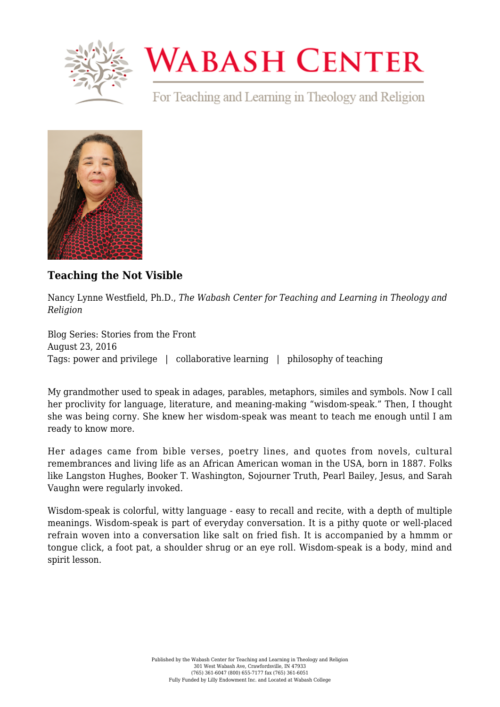

## **WABASH CENTER**

For Teaching and Learning in Theology and Religion



## **[Teaching the Not Visible](https://www.wabashcenter.wabash.edu/2016/08/teaching-the-not-visible/)**

Nancy Lynne Westfield, Ph.D., *The Wabash Center for Teaching and Learning in Theology and Religion*

Blog Series: Stories from the Front August 23, 2016 Tags: power and privilege | collaborative learning | philosophy of teaching

My grandmother used to speak in adages, parables, metaphors, similes and symbols. Now I call her proclivity for language, literature, and meaning-making "wisdom-speak." Then, I thought she was being corny. She knew her wisdom-speak was meant to teach me enough until I am ready to know more.

Her adages came from bible verses, poetry lines, and quotes from novels, cultural remembrances and living life as an African American woman in the USA, born in 1887. Folks like Langston Hughes, Booker T. Washington, Sojourner Truth, Pearl Bailey, Jesus, and Sarah Vaughn were regularly invoked.

Wisdom-speak is colorful, witty language - easy to recall and recite, with a depth of multiple meanings. Wisdom-speak is part of everyday conversation. It is a pithy quote or well-placed refrain woven into a conversation like salt on fried fish. It is accompanied by a hmmm or tongue click, a foot pat, a shoulder shrug or an eye roll. Wisdom-speak is a body, mind and spirit lesson.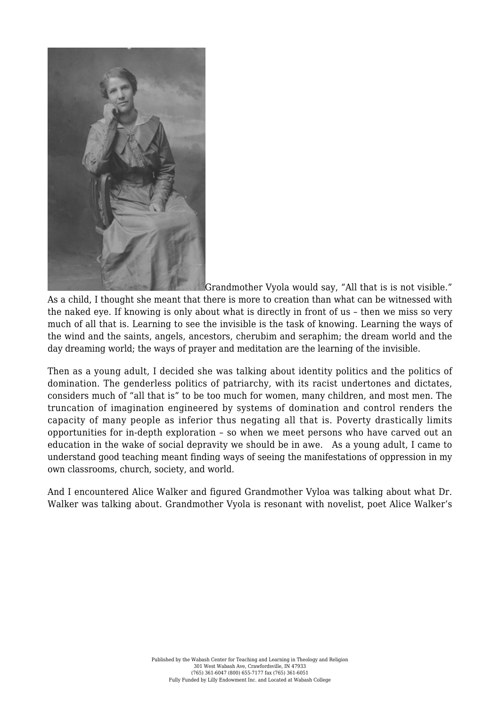

Grandmother Vyola would say, "All that is is not visible." As a child, I thought she meant that there is more to creation than what can be witnessed with the naked eye. If knowing is only about what is directly in front of us – then we miss so very much of all that is. Learning to see the invisible is the task of knowing. Learning the ways of the wind and the saints, angels, ancestors, cherubim and seraphim; the dream world and the day dreaming world; the ways of prayer and meditation are the learning of the invisible.

Then as a young adult, I decided she was talking about identity politics and the politics of domination. The genderless politics of patriarchy, with its racist undertones and dictates, considers much of "all that is" to be too much for women, many children, and most men. The truncation of imagination engineered by systems of domination and control renders the capacity of many people as inferior thus negating all that is. Poverty drastically limits opportunities for in-depth exploration – so when we meet persons who have carved out an education in the wake of social depravity we should be in awe. As a young adult, I came to understand good teaching meant finding ways of seeing the manifestations of oppression in my own classrooms, church, society, and world.

And I encountered Alice Walker and figured Grandmother Vyloa was talking about what Dr. Walker was talking about. Grandmother Vyola is resonant with novelist, poet Alice Walker's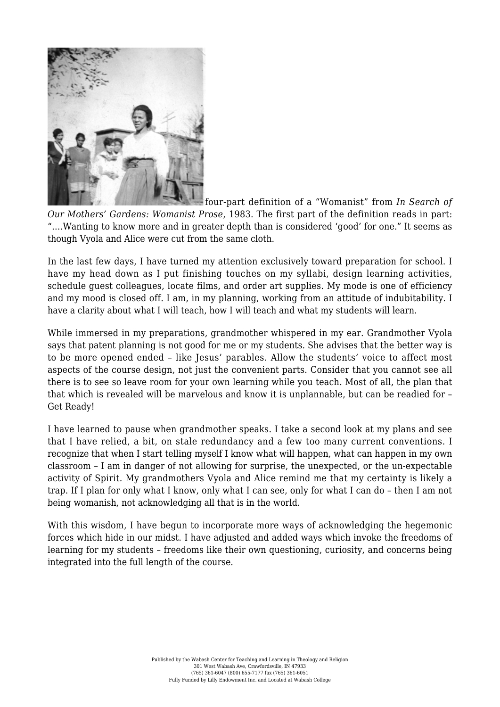

four-part definition of a "Womanist" from *In Search of Our Mothers' Gardens: Womanist Prose*, 1983. The first part of the definition reads in part: "….Wanting to know more and in greater depth than is considered 'good' for one." It seems as though Vyola and Alice were cut from the same cloth.

In the last few days, I have turned my attention exclusively toward preparation for school. I have my head down as I put finishing touches on my syllabi, design learning activities, schedule guest colleagues, locate films, and order art supplies. My mode is one of efficiency and my mood is closed off. I am, in my planning, working from an attitude of indubitability. I have a clarity about what I will teach, how I will teach and what my students will learn.

While immersed in my preparations, grandmother whispered in my ear. Grandmother Vyola says that patent planning is not good for me or my students. She advises that the better way is to be more opened ended – like Jesus' parables. Allow the students' voice to affect most aspects of the course design, not just the convenient parts. Consider that you cannot see all there is to see so leave room for your own learning while you teach. Most of all, the plan that that which is revealed will be marvelous and know it is unplannable, but can be readied for – Get Ready!

I have learned to pause when grandmother speaks. I take a second look at my plans and see that I have relied, a bit, on stale redundancy and a few too many current conventions. I recognize that when I start telling myself I know what will happen, what can happen in my own classroom – I am in danger of not allowing for surprise, the unexpected, or the un-expectable activity of Spirit. My grandmothers Vyola and Alice remind me that my certainty is likely a trap. If I plan for only what I know, only what I can see, only for what I can do – then I am not being womanish, not acknowledging all that is in the world.

With this wisdom, I have begun to incorporate more ways of acknowledging the hegemonic forces which hide in our midst. I have adjusted and added ways which invoke the freedoms of learning for my students – freedoms like their own questioning, curiosity, and concerns being integrated into the full length of the course.